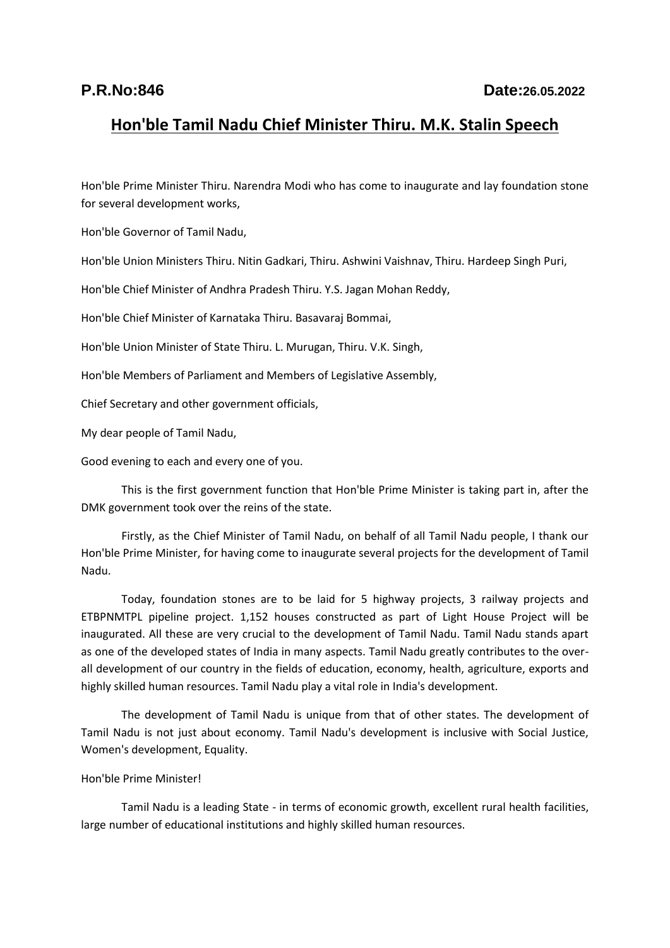## **Hon'ble Tamil Nadu Chief Minister Thiru. M.K. Stalin Speech**

Hon'ble Prime Minister Thiru. Narendra Modi who has come to inaugurate and lay foundation stone for several development works,

Hon'ble Governor of Tamil Nadu,

Hon'ble Union Ministers Thiru. Nitin Gadkari, Thiru. Ashwini Vaishnav, Thiru. Hardeep Singh Puri,

Hon'ble Chief Minister of Andhra Pradesh Thiru. Y.S. Jagan Mohan Reddy,

Hon'ble Chief Minister of Karnataka Thiru. Basavaraj Bommai,

Hon'ble Union Minister of State Thiru. L. Murugan, Thiru. V.K. Singh,

Hon'ble Members of Parliament and Members of Legislative Assembly,

Chief Secretary and other government officials,

My dear people of Tamil Nadu,

Good evening to each and every one of you.

This is the first government function that Hon'ble Prime Minister is taking part in, after the DMK government took over the reins of the state.

Firstly, as the Chief Minister of Tamil Nadu, on behalf of all Tamil Nadu people, I thank our Hon'ble Prime Minister, for having come to inaugurate several projects for the development of Tamil Nadu.

Today, foundation stones are to be laid for 5 highway projects, 3 railway projects and ETBPNMTPL pipeline project. 1,152 houses constructed as part of Light House Project will be inaugurated. All these are very crucial to the development of Tamil Nadu. Tamil Nadu stands apart as one of the developed states of India in many aspects. Tamil Nadu greatly contributes to the overall development of our country in the fields of education, economy, health, agriculture, exports and highly skilled human resources. Tamil Nadu play a vital role in India's development.

The development of Tamil Nadu is unique from that of other states. The development of Tamil Nadu is not just about economy. Tamil Nadu's development is inclusive with Social Justice, Women's development, Equality.

## Hon'ble Prime Minister!

Tamil Nadu is a leading State - in terms of economic growth, excellent rural health facilities, large number of educational institutions and highly skilled human resources.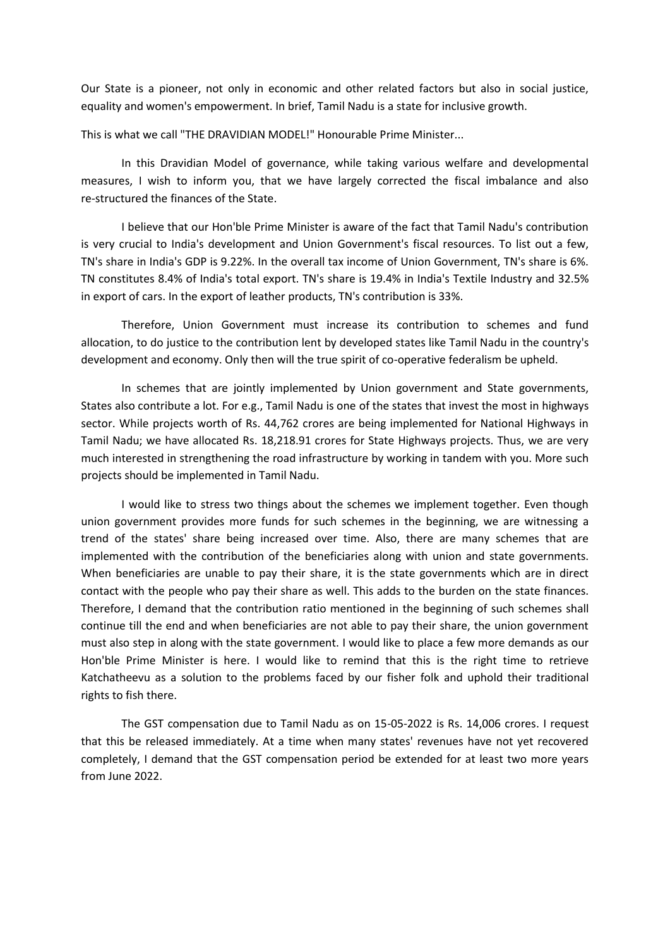Our State is a pioneer, not only in economic and other related factors but also in social justice, equality and women's empowerment. In brief, Tamil Nadu is a state for inclusive growth.

This is what we call "THE DRAVIDIAN MODEL!" Honourable Prime Minister...

In this Dravidian Model of governance, while taking various welfare and developmental measures, I wish to inform you, that we have largely corrected the fiscal imbalance and also re-structured the finances of the State.

I believe that our Hon'ble Prime Minister is aware of the fact that Tamil Nadu's contribution is very crucial to India's development and Union Government's fiscal resources. To list out a few, TN's share in India's GDP is 9.22%. In the overall tax income of Union Government, TN's share is 6%. TN constitutes 8.4% of India's total export. TN's share is 19.4% in India's Textile Industry and 32.5% in export of cars. In the export of leather products, TN's contribution is 33%.

Therefore, Union Government must increase its contribution to schemes and fund allocation, to do justice to the contribution lent by developed states like Tamil Nadu in the country's development and economy. Only then will the true spirit of co-operative federalism be upheld.

In schemes that are jointly implemented by Union government and State governments, States also contribute a lot. For e.g., Tamil Nadu is one of the states that invest the most in highways sector. While projects worth of Rs. 44,762 crores are being implemented for National Highways in Tamil Nadu; we have allocated Rs. 18,218.91 crores for State Highways projects. Thus, we are very much interested in strengthening the road infrastructure by working in tandem with you. More such projects should be implemented in Tamil Nadu.

I would like to stress two things about the schemes we implement together. Even though union government provides more funds for such schemes in the beginning, we are witnessing a trend of the states' share being increased over time. Also, there are many schemes that are implemented with the contribution of the beneficiaries along with union and state governments. When beneficiaries are unable to pay their share, it is the state governments which are in direct contact with the people who pay their share as well. This adds to the burden on the state finances. Therefore, I demand that the contribution ratio mentioned in the beginning of such schemes shall continue till the end and when beneficiaries are not able to pay their share, the union government must also step in along with the state government. I would like to place a few more demands as our Hon'ble Prime Minister is here. I would like to remind that this is the right time to retrieve Katchatheevu as a solution to the problems faced by our fisher folk and uphold their traditional rights to fish there.

The GST compensation due to Tamil Nadu as on 15-05-2022 is Rs. 14,006 crores. I request that this be released immediately. At a time when many states' revenues have not yet recovered completely, I demand that the GST compensation period be extended for at least two more years from June 2022.